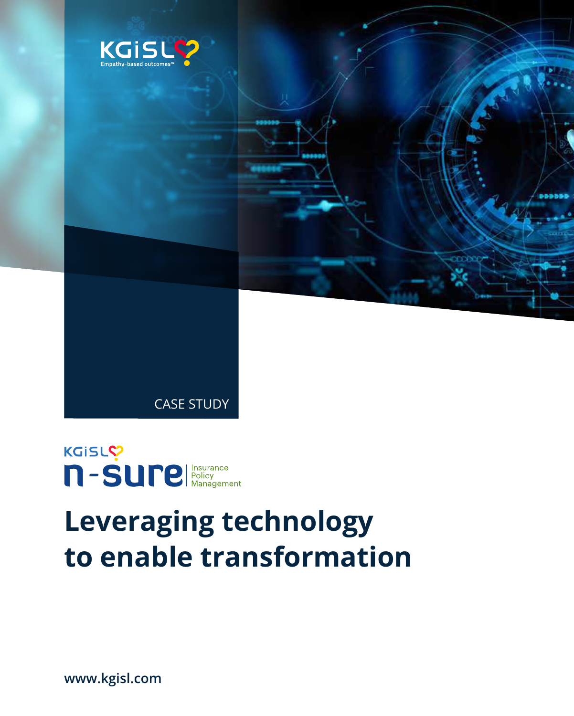



# **Leveraging technology to enable transformation**

**www.kgisl.com**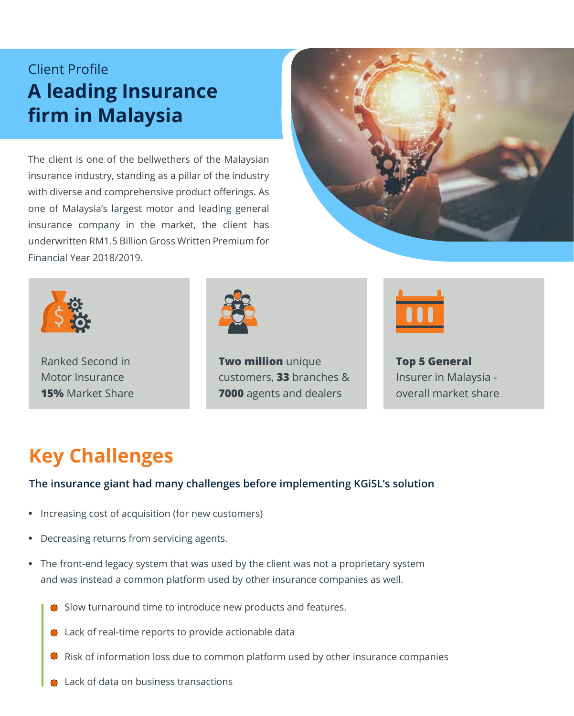## Client Profile **A leading Insurance firm in Malaysia**

The client is one of the bellwethers of the Malaysian insurance industry, standing as a pillar of the industry with diverse and comprehensive product offerings. As one of Malaysia's largest motor and leading general insurance company in the market, the client has underwritten RM1.5 Billion Gross Written Premium for Financial Year 2018/2019.





Ranked Second in Motor Insurance **15%** Market Share



**Two million** unique customers, **33** branches & **7000** agents and dealers



**Top 5 General** Insurer in Malaysia overall market share

# **Key Challenges**

#### **The insurance giant had many challenges before implementing KGiSL's solution**

- Increasing cost of acquisition (for new customers)
- Decreasing returns from servicing agents.
- The front-end legacy system that was used by the client was not a proprietary system and was instead a common platform used by other insurance companies as well.
	- Slow turnaround time to introduce new products and features.
	- **C** Lack of real-time reports to provide actionable data
	- Risk of information loss due to common platform used by other insurance companies
	- Lack of data on business transactions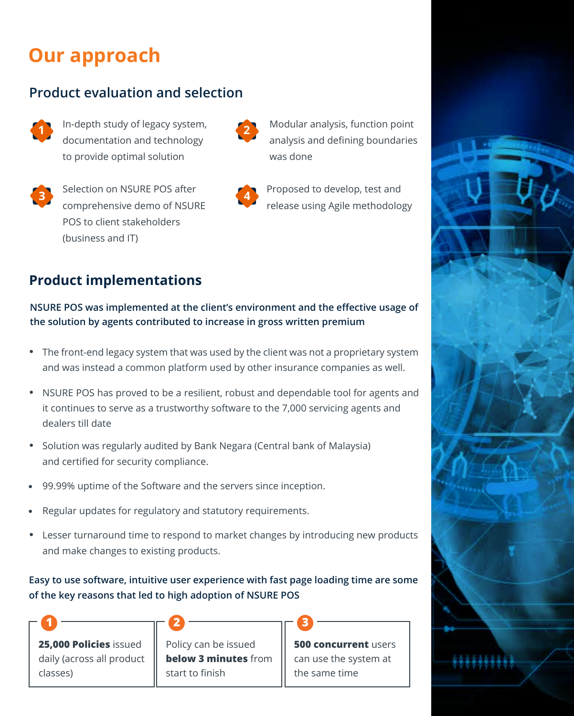# **Our approach**

#### **Product evaluation and selection**

- - In-depth study of legacy system, **1 2** documentation and technology to provide optimal solution



Selection on NSURE POS after **3 4**comprehensive demo of NSURE POS to client stakeholders (business and IT)



Modular analysis, function point analysis and defining boundaries was done

Proposed to develop, test and release using Agile methodology

## **Product implementations**

#### **NSURE POS was implemented at the client's environment and the effective usage of the solution by agents contributed to increase in gross written premium**

- The front-end legacy system that was used by the client was not a proprietary system and was instead a common platform used by other insurance companies as well.
- NSURE POS has proved to be a resilient, robust and dependable tool for agents and it continues to serve as a trustworthy software to the 7,000 servicing agents and dealers till date
- Solution was regularly audited by Bank Negara (Central bank of Malaysia) and certified for security compliance.
- 99.99% uptime of the Software and the servers since inception.

**1 2 3**

- Regular updates for regulatory and statutory requirements.
- Lesser turnaround time to respond to market changes by introducing new products and make changes to existing products.

#### **Easy to use software, intuitive user experience with fast page loading time are some of the key reasons that led to high adoption of NSURE POS**

**25,000 Policies** issued daily (across all product classes)

Policy can be issued **below 3 minutes** from start to finish

**500 concurrent** users can use the system at the same time

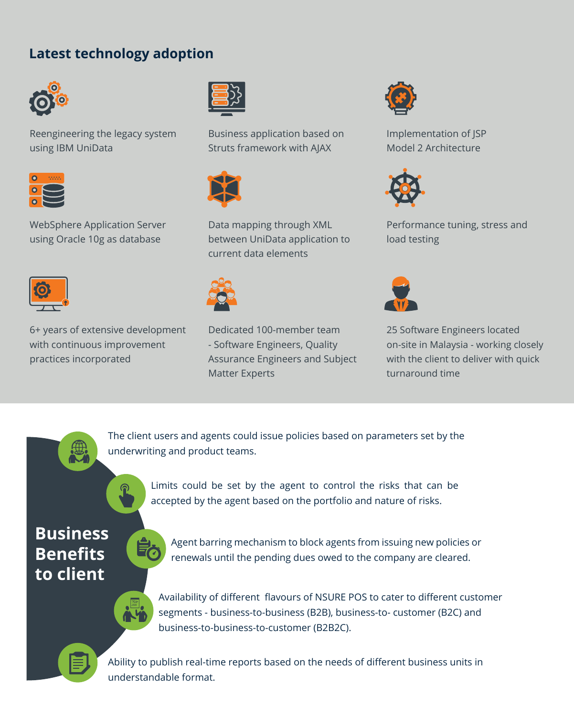### **Latest technology adoption**



Reengineering the legacy system using IBM UniData



WebSphere Application Server using Oracle 10g as database



6+ years of extensive development with continuous improvement practices incorporated



Business application based on Struts framework with AJAX



Data mapping through XML between UniData application to current data elements



Dedicated 100-member team - Software Engineers, Quality Assurance Engineers and Subject Matter Experts



Implementation of JSP Model 2 Architecture



Performance tuning, stress and load testing



25 Software Engineers located on-site in Malaysia - working closely with the client to deliver with quick turnaround time



The client users and agents could issue policies based on parameters set by the underwriting and product teams.



Limits could be set by the agent to control the risks that can be accepted by the agent based on the portfolio and nature of risks.

## **Business Benefits to client**



Agent barring mechanism to block agents from issuing new policies or renewals until the pending dues owed to the company are cleared.



Availability of different flavours of NSURE POS to cater to different customer segments - business-to-business (B2B), business-to- customer (B2C) and business-to-business-to-customer (B2B2C).



Ability to publish real-time reports based on the needs of different business units in understandable format.